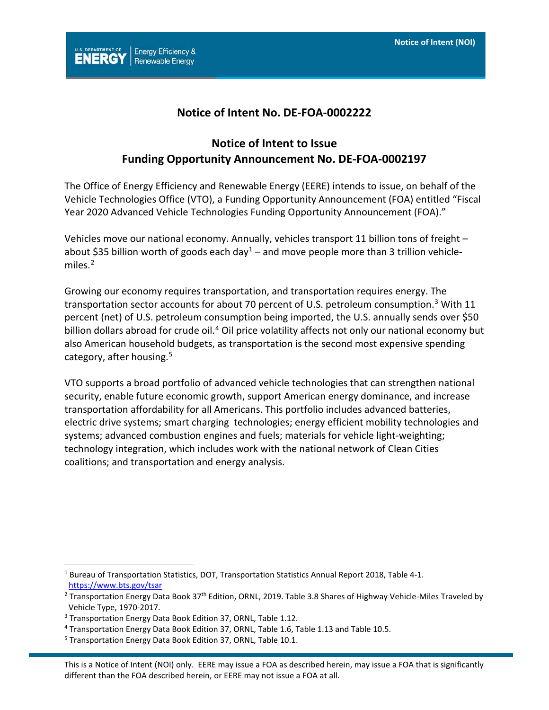

## **Notice of Intent No. DE-FOA-0002222**

# **Notice of Intent to Issue Funding Opportunity Announcement No. DE-FOA-0002197**

The Office of Energy Efficiency and Renewable Energy (EERE) intends to issue, on behalf of the Vehicle Technologies Office (VTO), a Funding Opportunity Announcement (FOA) entitled "Fiscal Year 2020 Advanced Vehicle Technologies Funding Opportunity Announcement (FOA)."

Vehicles move our national economy. Annually, vehicles transport 11 billion tons of freight – about \$35 billion worth of goods each day<sup>[1](#page-0-0)</sup> – and move people more than 3 trillion vehicle-miles.<sup>[2](#page-0-1)</sup>

Growing our economy requires transportation, and transportation requires energy. The transportation sector accounts for about 70 percent of U.S. petroleum consumption.<sup>[3](#page-0-2)</sup> With 11 percent (net) of U.S. petroleum consumption being imported, the U.S. annually sends over \$50 billion dollars abroad for crude oil.<sup>[4](#page-0-3)</sup> Oil price volatility affects not only our national economy but also American household budgets, as transportation is the second most expensive spending category, after housing.<sup>[5](#page-0-4)</sup>

VTO supports a broad portfolio of advanced vehicle technologies that can strengthen national security, enable future economic growth, support American energy dominance, and increase transportation affordability for all Americans. This portfolio includes advanced batteries, electric drive systems; smart charging technologies; energy efficient mobility technologies and systems; advanced combustion engines and fuels; materials for vehicle light-weighting; technology integration, which includes work with the national network of Clean Cities coalitions; and transportation and energy analysis.

 $\overline{a}$ 

<span id="page-0-0"></span><sup>&</sup>lt;sup>1</sup> Bureau of Transportation Statistics, DOT, Transportation Statistics Annual Report 2018, Table 4-1. <https://www.bts.gov/tsar>

<span id="page-0-1"></span><sup>&</sup>lt;sup>2</sup> Transportation Energy Data Book 37<sup>th</sup> Edition, ORNL, 2019. Table 3.8 Shares of Highway Vehicle-Miles Traveled by Vehicle Type, 1970-2017.

<span id="page-0-2"></span><sup>3</sup> Transportation Energy Data Book Edition 37, ORNL, Table 1.12.

<span id="page-0-3"></span><sup>4</sup> Transportation Energy Data Book Edition 37, ORNL, Table 1.6, Table 1.13 and Table 10.5.

<span id="page-0-4"></span><sup>5</sup> Transportation Energy Data Book Edition 37, ORNL, Table 10.1.

This is a Notice of Intent (NOI) only. EERE may issue a FOA as described herein, may issue a FOA that is significantly different than the FOA described herein, or EERE may not issue a FOA at all.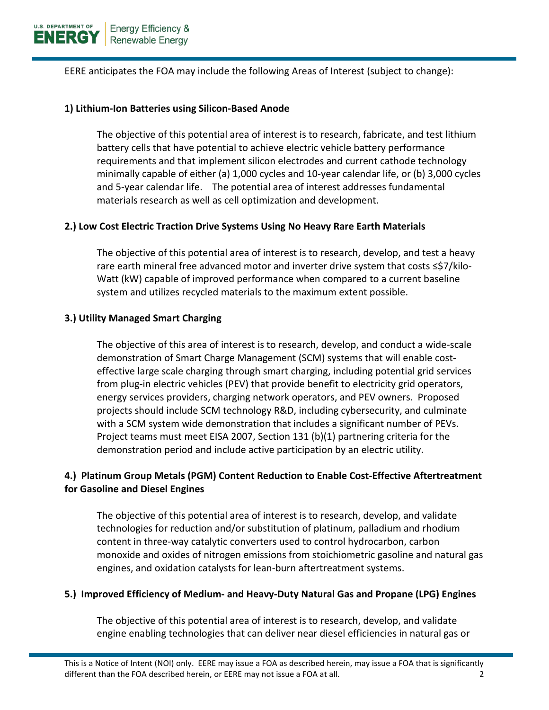EERE anticipates the FOA may include the following Areas of Interest (subject to change):

#### **1) Lithium-Ion Batteries using Silicon-Based Anode**

The objective of this potential area of interest is to research, fabricate, and test lithium battery cells that have potential to achieve electric vehicle battery performance requirements and that implement silicon electrodes and current cathode technology minimally capable of either (a) 1,000 cycles and 10-year calendar life, or (b) 3,000 cycles and 5-year calendar life. The potential area of interest addresses fundamental materials research as well as cell optimization and development.

### **2.) Low Cost Electric Traction Drive Systems Using No Heavy Rare Earth Materials**

The objective of this potential area of interest is to research, develop, and test a heavy rare earth mineral free advanced motor and inverter drive system that costs ≤\$7/kilo-Watt (kW) capable of improved performance when compared to a current baseline system and utilizes recycled materials to the maximum extent possible.

### **3.) Utility Managed Smart Charging**

The objective of this area of interest is to research, develop, and conduct a wide-scale demonstration of Smart Charge Management (SCM) systems that will enable costeffective large scale charging through smart charging, including potential grid services from plug-in electric vehicles (PEV) that provide benefit to electricity grid operators, energy services providers, charging network operators, and PEV owners. Proposed projects should include SCM technology R&D, including cybersecurity, and culminate with a SCM system wide demonstration that includes a significant number of PEVs. Project teams must meet EISA 2007, Section 131 (b)(1) partnering criteria for the demonstration period and include active participation by an electric utility.

# **4.) Platinum Group Metals (PGM) Content Reduction to Enable Cost-Effective Aftertreatment for Gasoline and Diesel Engines**

The objective of this potential area of interest is to research, develop, and validate technologies for reduction and/or substitution of platinum, palladium and rhodium content in three-way catalytic converters used to control hydrocarbon, carbon monoxide and oxides of nitrogen emissions from stoichiometric gasoline and natural gas engines, and oxidation catalysts for lean-burn aftertreatment systems.

## **5.) Improved Efficiency of Medium- and Heavy-Duty Natural Gas and Propane (LPG) Engines**

The objective of this potential area of interest is to research, develop, and validate engine enabling technologies that can deliver near diesel efficiencies in natural gas or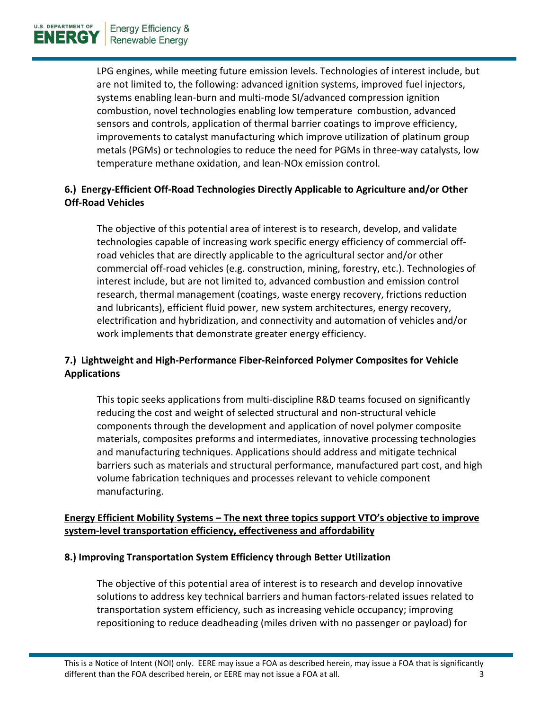LPG engines, while meeting future emission levels. Technologies of interest include, but are not limited to, the following: advanced ignition systems, improved fuel injectors, systems enabling lean-burn and multi-mode SI/advanced compression ignition combustion, novel technologies enabling low temperature combustion, advanced sensors and controls, application of thermal barrier coatings to improve efficiency, improvements to catalyst manufacturing which improve utilization of platinum group metals (PGMs) or technologies to reduce the need for PGMs in three-way catalysts, low temperature methane oxidation, and lean-NOx emission control.

# **6.) Energy-Efficient Off-Road Technologies Directly Applicable to Agriculture and/or Other Off-Road Vehicles**

The objective of this potential area of interest is to research, develop, and validate technologies capable of increasing work specific energy efficiency of commercial offroad vehicles that are directly applicable to the agricultural sector and/or other commercial off-road vehicles (e.g. construction, mining, forestry, etc.). Technologies of interest include, but are not limited to, advanced combustion and emission control research, thermal management (coatings, waste energy recovery, frictions reduction and lubricants), efficient fluid power, new system architectures, energy recovery, electrification and hybridization, and connectivity and automation of vehicles and/or work implements that demonstrate greater energy efficiency.

# **7.) Lightweight and High-Performance Fiber-Reinforced Polymer Composites for Vehicle Applications**

This topic seeks applications from multi-discipline R&D teams focused on significantly reducing the cost and weight of selected structural and non-structural vehicle components through the development and application of novel polymer composite materials, composites preforms and intermediates, innovative processing technologies and manufacturing techniques. Applications should address and mitigate technical barriers such as materials and structural performance, manufactured part cost, and high volume fabrication techniques and processes relevant to vehicle component manufacturing.

# **Energy Efficient Mobility Systems – The next three topics support VTO's objective to improve system-level transportation efficiency, effectiveness and affordability**

## **8.) Improving Transportation System Efficiency through Better Utilization**

The objective of this potential area of interest is to research and develop innovative solutions to address key technical barriers and human factors-related issues related to transportation system efficiency, such as increasing vehicle occupancy; improving repositioning to reduce deadheading (miles driven with no passenger or payload) for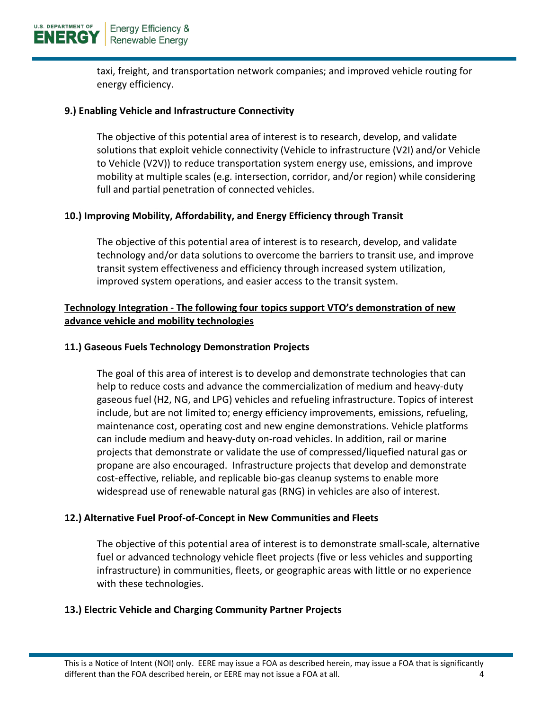taxi, freight, and transportation network companies; and improved vehicle routing for energy efficiency.

## **9.) Enabling Vehicle and Infrastructure Connectivity**

The objective of this potential area of interest is to research, develop, and validate solutions that exploit vehicle connectivity (Vehicle to infrastructure (V2I) and/or Vehicle to Vehicle (V2V)) to reduce transportation system energy use, emissions, and improve mobility at multiple scales (e.g. intersection, corridor, and/or region) while considering full and partial penetration of connected vehicles.

### **10.) Improving Mobility, Affordability, and Energy Efficiency through Transit**

The objective of this potential area of interest is to research, develop, and validate technology and/or data solutions to overcome the barriers to transit use, and improve transit system effectiveness and efficiency through increased system utilization, improved system operations, and easier access to the transit system.

## **Technology Integration - The following four topics support VTO's demonstration of new advance vehicle and mobility technologies**

### **11.) Gaseous Fuels Technology Demonstration Projects**

The goal of this area of interest is to develop and demonstrate technologies that can help to reduce costs and advance the commercialization of medium and heavy-duty gaseous fuel (H2, NG, and LPG) vehicles and refueling infrastructure. Topics of interest include, but are not limited to; energy efficiency improvements, emissions, refueling, maintenance cost, operating cost and new engine demonstrations. Vehicle platforms can include medium and heavy-duty on-road vehicles. In addition, rail or marine projects that demonstrate or validate the use of compressed/liquefied natural gas or propane are also encouraged. Infrastructure projects that develop and demonstrate cost-effective, reliable, and replicable bio-gas cleanup systems to enable more widespread use of renewable natural gas (RNG) in vehicles are also of interest.

#### **12.) Alternative Fuel Proof-of-Concept in New Communities and Fleets**

The objective of this potential area of interest is to demonstrate small-scale, alternative fuel or advanced technology vehicle fleet projects (five or less vehicles and supporting infrastructure) in communities, fleets, or geographic areas with little or no experience with these technologies.

#### **13.) Electric Vehicle and Charging Community Partner Projects**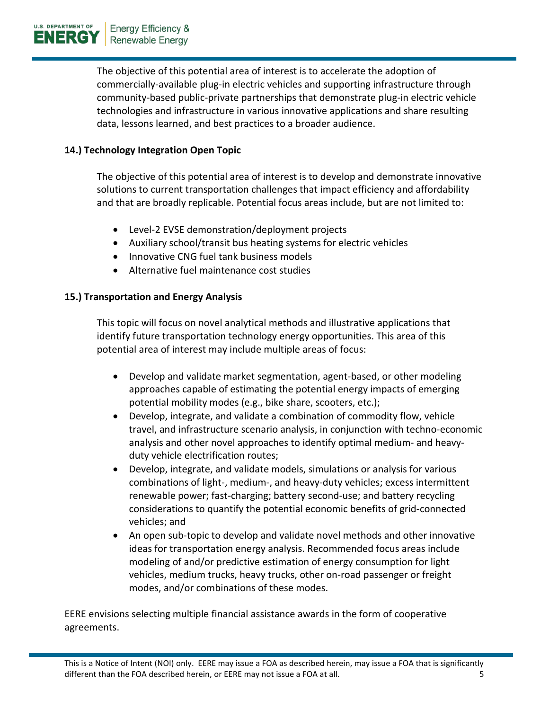The objective of this potential area of interest is to accelerate the adoption of commercially-available plug-in electric vehicles and supporting infrastructure through community-based public-private partnerships that demonstrate plug-in electric vehicle technologies and infrastructure in various innovative applications and share resulting data, lessons learned, and best practices to a broader audience.

# **14.) Technology Integration Open Topic**

The objective of this potential area of interest is to develop and demonstrate innovative solutions to current transportation challenges that impact efficiency and affordability and that are broadly replicable. Potential focus areas include, but are not limited to:

- Level-2 EVSE demonstration/deployment projects
- Auxiliary school/transit bus heating systems for electric vehicles
- Innovative CNG fuel tank business models
- Alternative fuel maintenance cost studies

## **15.) Transportation and Energy Analysis**

This topic will focus on novel analytical methods and illustrative applications that identify future transportation technology energy opportunities. This area of this potential area of interest may include multiple areas of focus:

- Develop and validate market segmentation, agent-based, or other modeling approaches capable of estimating the potential energy impacts of emerging potential mobility modes (e.g., bike share, scooters, etc.);
- Develop, integrate, and validate a combination of commodity flow, vehicle travel, and infrastructure scenario analysis, in conjunction with techno-economic analysis and other novel approaches to identify optimal medium- and heavyduty vehicle electrification routes;
- Develop, integrate, and validate models, simulations or analysis for various combinations of light-, medium-, and heavy-duty vehicles; excess intermittent renewable power; fast-charging; battery second-use; and battery recycling considerations to quantify the potential economic benefits of grid-connected vehicles; and
- An open sub-topic to develop and validate novel methods and other innovative ideas for transportation energy analysis. Recommended focus areas include modeling of and/or predictive estimation of energy consumption for light vehicles, medium trucks, heavy trucks, other on-road passenger or freight modes, and/or combinations of these modes.

EERE envisions selecting multiple financial assistance awards in the form of cooperative agreements.